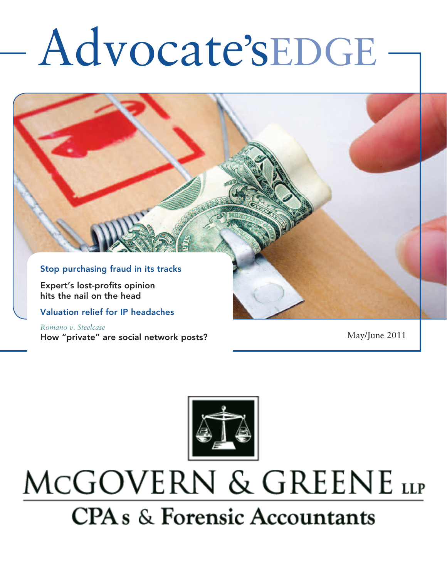# Advocate'sEDGE



*Romano v. Steelcase* How "private" are social network posts? May/June 2011



## MCGOVERN & GREENE LLP **CPA** s & Forensic Accountants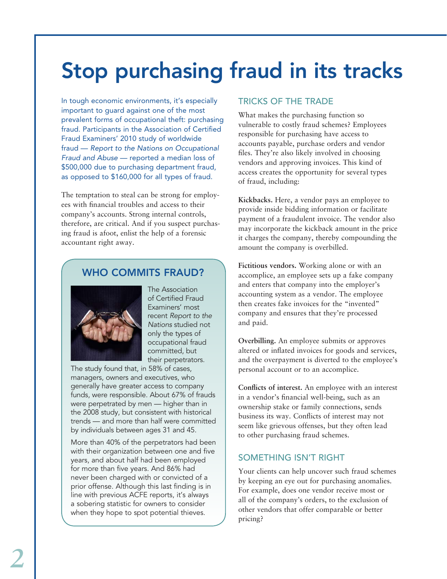### Stop purchasing fraud in its tracks

In tough economic environments, it's especially important to guard against one of the most prevalent forms of occupational theft: purchasing fraud. Participants in the Association of Certified Fraud Examiners' 2010 study of worldwide fraud — *Report to the Nations on Occupational Fraud and Abuse* — reported a median loss of \$500,000 due to purchasing department fraud, as opposed to \$160,000 for all types of fraud.

The temptation to steal can be strong for employees with financial troubles and access to their company's accounts. Strong internal controls, therefore, are critical. And if you suspect purchasing fraud is afoot, enlist the help of a forensic accountant right away.

### WHO COMMITS FRAUD?



The Association of Certified Fraud Examiners' most recent *Report to the Nations* studied not only the types of occupational fraud committed, but their perpetrators.

The study found that, in 58% of cases, managers, owners and executives, who generally have greater access to company funds, were responsible. About 67% of frauds were perpetrated by men — higher than in the 2008 study, but consistent with historical trends — and more than half were committed by individuals between ages 31 and 45.

More than 40% of the perpetrators had been with their organization between one and five years, and about half had been employed for more than five years. And 86% had never been charged with or convicted of a prior offense. Although this last finding is in line with previous ACFE reports, it's always a sobering statistic for owners to consider when they hope to spot potential thieves.

### Tricks of the trade

What makes the purchasing function so vulnerable to costly fraud schemes? Employees responsible for purchasing have access to accounts payable, purchase orders and vendor files. They're also likely involved in choosing vendors and approving invoices. This kind of access creates the opportunity for several types of fraud, including:

**Kickbacks.** Here, a vendor pays an employee to provide inside bidding information or facilitate payment of a fraudulent invoice. The vendor also may incorporate the kickback amount in the price it charges the company, thereby compounding the amount the company is overbilled.

**Fictitious vendors.** Working alone or with an accomplice, an employee sets up a fake company and enters that company into the employer's accounting system as a vendor. The employee then creates fake invoices for the "invented" company and ensures that they're processed and paid.

**Overbilling.** An employee submits or approves altered or inflated invoices for goods and services, and the overpayment is diverted to the employee's personal account or to an accomplice.

**Conflicts of interest.** An employee with an interest in a vendor's financial well-being, such as an ownership stake or family connections, sends business its way. Conflicts of interest may not seem like grievous offenses, but they often lead to other purchasing fraud schemes.

### SOMETHING ISN'T RIGHT

Your clients can help uncover such fraud schemes by keeping an eye out for purchasing anomalies. For example, does one vendor receive most or all of the company's orders, to the exclusion of other vendors that offer comparable or better pricing?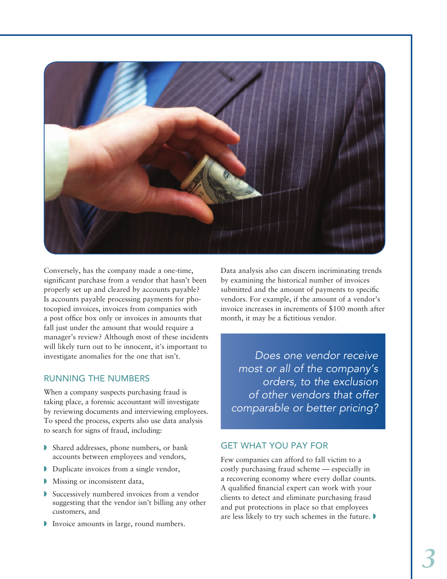

Conversely, has the company made a one-time, significant purchase from a vendor that hasn't been properly set up and cleared by accounts payable? Is accounts payable processing payments for photocopied invoices, invoices from companies with a post office box only or invoices in amounts that fall just under the amount that would require a manager's review? Although most of these incidents will likely turn out to be innocent, it's important to investigate anomalies for the one that isn't.

### Running the numbers

When a company suspects purchasing fraud is taking place, a forensic accountant will investigate by reviewing documents and interviewing employees. To speed the process, experts also use data analysis to search for signs of fraud, including:

- $\triangleright$  Shared addresses, phone numbers, or bank accounts between employees and vendors,
- $\n$  Duplicate invoices from a single vendor,
- Missing or inconsistent data,
- $\blacktriangleright$  Successively numbered invoices from a vendor suggesting that the vendor isn't billing any other customers, and
- Invoice amounts in large, round numbers.

Data analysis also can discern incriminating trends by examining the historical number of invoices submitted and the amount of payments to specific vendors. For example, if the amount of a vendor's invoice increases in increments of \$100 month after month, it may be a fictitious vendor.

*Does one vendor receive most or all of the company's orders, to the exclusion of other vendors that offer comparable or better pricing?* 

#### Get what you pay for

Few companies can afford to fall victim to a costly purchasing fraud scheme — especially in a recovering economy where every dollar counts. A qualified financial expert can work with your clients to detect and eliminate purchasing fraud and put protections in place so that employees are less likely to try such schemes in the future.  $\blacktriangleright$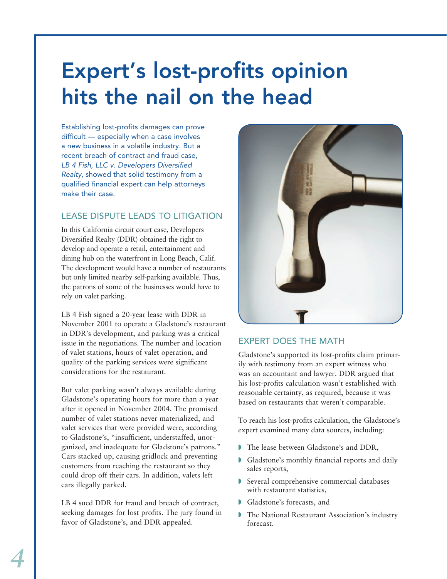### Expert's lost-profits opinion hits the nail on the head

Establishing lost-profits damages can prove difficult — especially when a case involves a new business in a volatile industry. But a recent breach of contract and fraud case, *LB 4 Fish, LLC v. Developers Diversified Realty*, showed that solid testimony from a qualified financial expert can help attorneys make their case.

### Lease dispute leads to litigation

In this California circuit court case, Developers Diversified Realty (DDR) obtained the right to develop and operate a retail, entertainment and dining hub on the waterfront in Long Beach, Calif. The development would have a number of restaurants but only limited nearby self-parking available. Thus, the patrons of some of the businesses would have to rely on valet parking.

LB 4 Fish signed a 20-year lease with DDR in November 2001 to operate a Gladstone's restaurant in DDR's development, and parking was a critical issue in the negotiations. The number and location of valet stations, hours of valet operation, and quality of the parking services were significant considerations for the restaurant.

But valet parking wasn't always available during Gladstone's operating hours for more than a year after it opened in November 2004. The promised number of valet stations never materialized, and valet services that were provided were, according to Gladstone's, "insufficient, understaffed, unorganized, and inadequate for Gladstone's patrons." Cars stacked up, causing gridlock and preventing customers from reaching the restaurant so they could drop off their cars. In addition, valets left cars illegally parked.

LB 4 sued DDR for fraud and breach of contract, seeking damages for lost profits. The jury found in favor of Gladstone's, and DDR appealed.



### Expert does the math

Gladstone's supported its lost-profits claim primarily with testimony from an expert witness who was an accountant and lawyer. DDR argued that his lost-profits calculation wasn't established with reasonable certainty, as required, because it was based on restaurants that weren't comparable.

To reach his lost-profits calculation, the Gladstone's expert examined many data sources, including:

- The lease between Gladstone's and DDR,
- Gladstone's monthly financial reports and daily sales reports,
- Several comprehensive commercial databases with restaurant statistics,
- Gladstone's forecasts, and
- **The National Restaurant Association's industry** forecast.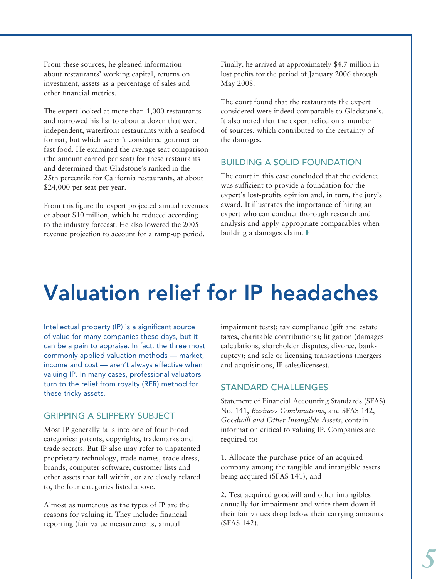From these sources, he gleaned information about restaurants' working capital, returns on investment, assets as a percentage of sales and other financial metrics.

The expert looked at more than 1,000 restaurants and narrowed his list to about a dozen that were independent, waterfront restaurants with a seafood format, but which weren't considered gourmet or fast food. He examined the average seat comparison (the amount earned per seat) for these restaurants and determined that Gladstone's ranked in the 25th percentile for California restaurants, at about \$24,000 per seat per year.

From this figure the expert projected annual revenues of about \$10 million, which he reduced according to the industry forecast. He also lowered the 2005 revenue projection to account for a ramp-up period.

Finally, he arrived at approximately \$4.7 million in lost profits for the period of January 2006 through May 2008.

The court found that the restaurants the expert considered were indeed comparable to Gladstone's. It also noted that the expert relied on a number of sources, which contributed to the certainty of the damages.

#### Building a solid foundation

The court in this case concluded that the evidence was sufficient to provide a foundation for the expert's lost-profits opinion and, in turn, the jury's award. It illustrates the importance of hiring an expert who can conduct thorough research and analysis and apply appropriate comparables when building a damages claim.

### Valuation relief for IP headaches

Intellectual property (IP) is a significant source of value for many companies these days, but it can be a pain to appraise. In fact, the three most commonly applied valuation methods — market, income and cost — aren't always effective when valuing IP. In many cases, professional valuators turn to the relief from royalty (RFR) method for these tricky assets.

#### Gripping a slippery subject

Most IP generally falls into one of four broad categories: patents, copyrights, trademarks and trade secrets. But IP also may refer to unpatented proprietary technology, trade names, trade dress, brands, computer software, customer lists and other assets that fall within, or are closely related to, the four categories listed above.

Almost as numerous as the types of IP are the reasons for valuing it. They include: financial reporting (fair value measurements, annual

impairment tests); tax compliance (gift and estate taxes, charitable contributions); litigation (damages calculations, shareholder disputes, divorce, bankruptcy); and sale or licensing transactions (mergers and acquisitions, IP sales/licenses).

#### Standard challenges

Statement of Financial Accounting Standards (SFAS) No. 141, *Business Combinations*, and SFAS 142, *Goodwill and Other Intangible Assets*, contain information critical to valuing IP. Companies are required to:

1. Allocate the purchase price of an acquired company among the tangible and intangible assets being acquired (SFAS 141), and

2. Test acquired goodwill and other intangibles annually for impairment and write them down if their fair values drop below their carrying amounts (SFAS 142).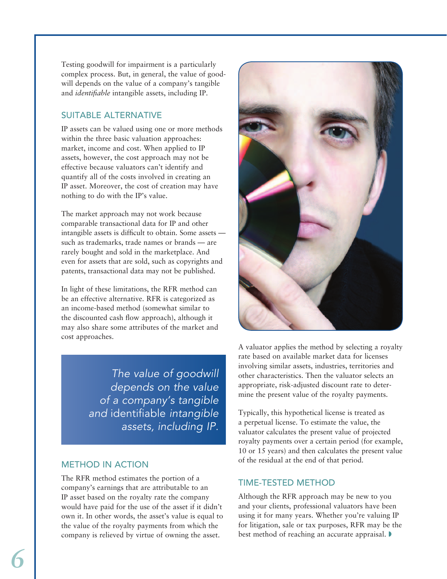Testing goodwill for impairment is a particularly complex process. But, in general, the value of goodwill depends on the value of a company's tangible and *identifiable* intangible assets, including IP.

### Suitable alternative

IP assets can be valued using one or more methods within the three basic valuation approaches: market, income and cost. When applied to IP assets, however, the cost approach may not be effective because valuators can't identify and quantify all of the costs involved in creating an IP asset. Moreover, the cost of creation may have nothing to do with the IP's value.

The market approach may not work because comparable transactional data for IP and other intangible assets is difficult to obtain. Some assets such as trademarks, trade names or brands — are rarely bought and sold in the marketplace. And even for assets that are sold, such as copyrights and patents, transactional data may not be published.

In light of these limitations, the RFR method can be an effective alternative. RFR is categorized as an income-based method (somewhat similar to the discounted cash flow approach), although it may also share some attributes of the market and cost approaches.

> *The value of goodwill depends on the value of a company's tangible and* identifiable *intangible assets, including IP.*

### Method in action

The RFR method estimates the portion of a company's earnings that are attributable to an IP asset based on the royalty rate the company would have paid for the use of the asset if it didn't own it. In other words, the asset's value is equal to the value of the royalty payments from which the company is relieved by virtue of owning the asset.



A valuator applies the method by selecting a royalty rate based on available market data for licenses involving similar assets, industries, territories and other characteristics. Then the valuator selects an appropriate, risk-adjusted discount rate to determine the present value of the royalty payments.

Typically, this hypothetical license is treated as a perpetual license. To estimate the value, the valuator calculates the present value of projected royalty payments over a certain period (for example, 10 or 15 years) and then calculates the present value of the residual at the end of that period.

### Time-tested method

Although the RFR approach may be new to you and your clients, professional valuators have been using it for many years. Whether you're valuing IP for litigation, sale or tax purposes, RFR may be the best method of reaching an accurate appraisal.